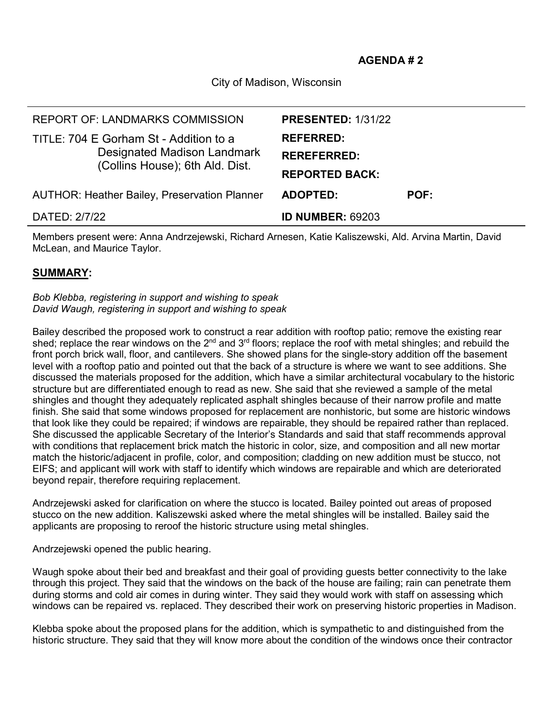City of Madison, Wisconsin

| <b>ADOPTED:</b><br><b>POF:</b> |
|--------------------------------|
|                                |
| <b>REPORTED BACK:</b>          |
| <b>REREFERRED:</b>             |
| <b>REFERRED:</b>               |
| <b>PRESENTED: 1/31/22</b>      |
|                                |

Members present were: Anna Andrzejewski, Richard Arnesen, Katie Kaliszewski, Ald. Arvina Martin, David McLean, and Maurice Taylor.

## **SUMMARY:**

## *Bob Klebba, registering in support and wishing to speak David Waugh, registering in support and wishing to speak*

Bailey described the proposed work to construct a rear addition with rooftop patio; remove the existing rear shed; replace the rear windows on the 2<sup>nd</sup> and 3<sup>rd</sup> floors; replace the roof with metal shingles; and rebuild the front porch brick wall, floor, and cantilevers. She showed plans for the single-story addition off the basement level with a rooftop patio and pointed out that the back of a structure is where we want to see additions. She discussed the materials proposed for the addition, which have a similar architectural vocabulary to the historic structure but are differentiated enough to read as new. She said that she reviewed a sample of the metal shingles and thought they adequately replicated asphalt shingles because of their narrow profile and matte finish. She said that some windows proposed for replacement are nonhistoric, but some are historic windows that look like they could be repaired; if windows are repairable, they should be repaired rather than replaced. She discussed the applicable Secretary of the Interior's Standards and said that staff recommends approval with conditions that replacement brick match the historic in color, size, and composition and all new mortar match the historic/adjacent in profile, color, and composition; cladding on new addition must be stucco, not EIFS; and applicant will work with staff to identify which windows are repairable and which are deteriorated beyond repair, therefore requiring replacement.

Andrzejewski asked for clarification on where the stucco is located. Bailey pointed out areas of proposed stucco on the new addition. Kaliszewski asked where the metal shingles will be installed. Bailey said the applicants are proposing to reroof the historic structure using metal shingles.

Andrzejewski opened the public hearing.

Waugh spoke about their bed and breakfast and their goal of providing guests better connectivity to the lake through this project. They said that the windows on the back of the house are failing; rain can penetrate them during storms and cold air comes in during winter. They said they would work with staff on assessing which windows can be repaired vs. replaced. They described their work on preserving historic properties in Madison.

Klebba spoke about the proposed plans for the addition, which is sympathetic to and distinguished from the historic structure. They said that they will know more about the condition of the windows once their contractor